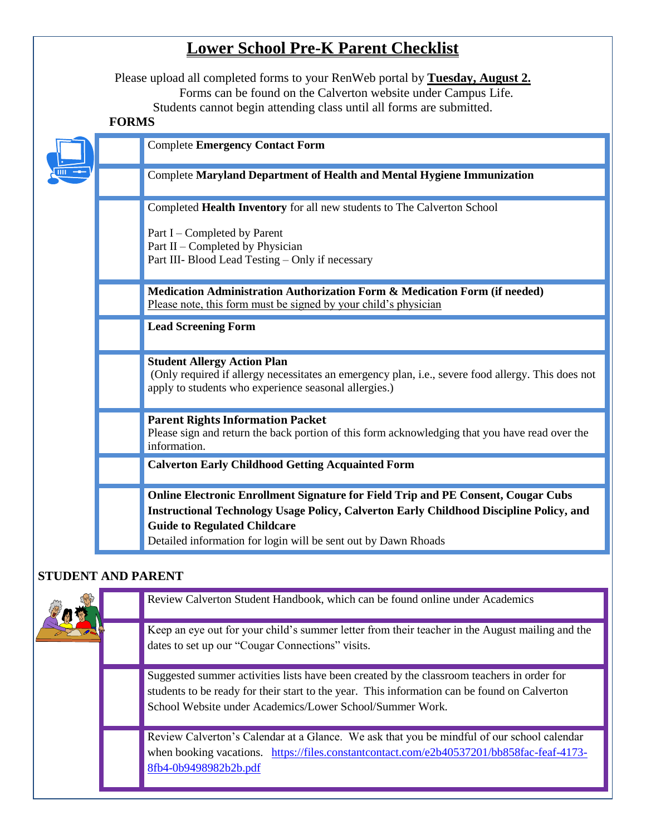# **Lower School Pre-K Parent Checklist**

Please upload all completed forms to your RenWeb portal by **Tuesday, August 2.** Forms can be found on the Calverton website under Campus Life. Students cannot begin attending class until all forms are submitted.

## **FORMS**

|  | <b>Complete Emergency Contact Form</b>                                                                                                                                                                                                                                                       |
|--|----------------------------------------------------------------------------------------------------------------------------------------------------------------------------------------------------------------------------------------------------------------------------------------------|
|  | <b>Complete Maryland Department of Health and Mental Hygiene Immunization</b>                                                                                                                                                                                                                |
|  | Completed Health Inventory for all new students to The Calverton School                                                                                                                                                                                                                      |
|  | Part I – Completed by Parent<br>Part II - Completed by Physician<br>Part III- Blood Lead Testing - Only if necessary                                                                                                                                                                         |
|  | Medication Administration Authorization Form & Medication Form (if needed)<br>Please note, this form must be signed by your child's physician                                                                                                                                                |
|  | <b>Lead Screening Form</b>                                                                                                                                                                                                                                                                   |
|  | <b>Student Allergy Action Plan</b><br>(Only required if allergy necessitates an emergency plan, i.e., severe food allergy. This does not<br>apply to students who experience seasonal allergies.)                                                                                            |
|  | <b>Parent Rights Information Packet</b><br>Please sign and return the back portion of this form acknowledging that you have read over the<br>information.                                                                                                                                    |
|  | <b>Calverton Early Childhood Getting Acquainted Form</b>                                                                                                                                                                                                                                     |
|  | <b>Online Electronic Enrollment Signature for Field Trip and PE Consent, Cougar Cubs</b><br>Instructional Technology Usage Policy, Calverton Early Childhood Discipline Policy, and<br><b>Guide to Regulated Childcare</b><br>Detailed information for login will be sent out by Dawn Rhoads |

## **STUDENT AND PARENT**

|  | Review Calverton Student Handbook, which can be found online under Academics                                                                                                                                                                           |
|--|--------------------------------------------------------------------------------------------------------------------------------------------------------------------------------------------------------------------------------------------------------|
|  | Keep an eye out for your child's summer letter from their teacher in the August mailing and the<br>dates to set up our "Cougar Connections" visits.                                                                                                    |
|  | Suggested summer activities lists have been created by the classroom teachers in order for<br>students to be ready for their start to the year. This information can be found on Calverton<br>School Website under Academics/Lower School/Summer Work. |
|  | Review Calverton's Calendar at a Glance. We ask that you be mindful of our school calendar<br>when booking vacations. https://files.constantcontact.com/e2b40537201/bb858fac-feaf-4173-<br>8fb4-0b9498982b2b.pdf                                       |